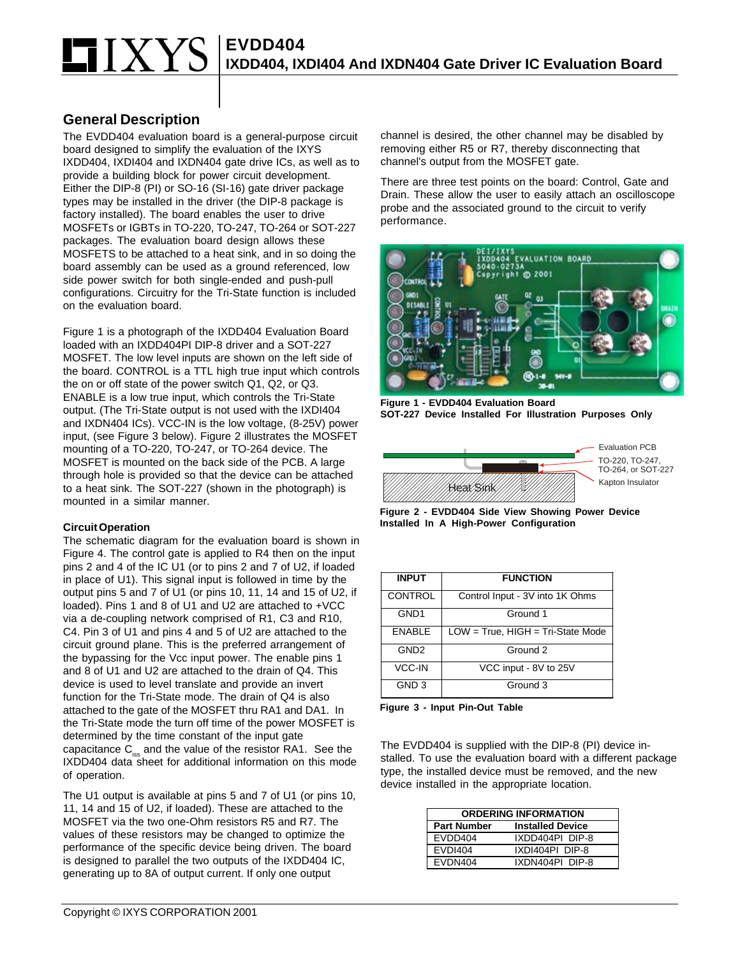## **EVDD404 IXDD404, IXDI404 And IXDN404 Gate Driver IC Evaluation Board**

## **General Description**

The EVDD404 evaluation board is a general-purpose circuit board designed to simplify the evaluation of the IXYS IXDD404, IXDI404 and IXDN404 gate drive ICs, as well as to provide a building block for power circuit development. Either the DIP-8 (PI) or SO-16 (SI-16) gate driver package types may be installed in the driver (the DIP-8 package is factory installed). The board enables the user to drive MOSFETs or IGBTs in TO-220, TO-247, TO-264 or SOT-227 packages. The evaluation board design allows these MOSFETS to be attached to a heat sink, and in so doing the board assembly can be used as a ground referenced, low side power switch for both single-ended and push-pull configurations. Circuitry for the Tri-State function is included on the evaluation board.

Figure 1 is a photograph of the IXDD404 Evaluation Board loaded with an IXDD404PI DIP-8 driver and a SOT-227 MOSFET. The low level inputs are shown on the left side of the board. CONTROL is a TTL high true input which controls the on or off state of the power switch Q1, Q2, or Q3. ENABLE is a low true input, which controls the Tri-State output. (The Tri-State output is not used with the IXDI404 and IXDN404 ICs). VCC-IN is the low voltage, (8-25V) power input, (see Figure 3 below). Figure 2 illustrates the MOSFET mounting of a TO-220, TO-247, or TO-264 device. The MOSFET is mounted on the back side of the PCB. A large through hole is provided so that the device can be attached to a heat sink. The SOT-227 (shown in the photograph) is mounted in a similar manner.

## **Circuit Operation**

The schematic diagram for the evaluation board is shown in Figure 4. The control gate is applied to R4 then on the input pins 2 and 4 of the IC U1 (or to pins 2 and 7 of U2, if loaded in place of U1). This signal input is followed in time by the output pins 5 and 7 of U1 (or pins 10, 11, 14 and 15 of U2, if loaded). Pins 1 and 8 of U1 and U2 are attached to +VCC via a de-coupling network comprised of R1, C3 and R10, C4. Pin 3 of U1 and pins 4 and 5 of U2 are attached to the circuit ground plane. This is the preferred arrangement of the bypassing for the Vcc input power. The enable pins 1 and 8 of U1 and U2 are attached to the drain of Q4. This device is used to level translate and provide an invert function for the Tri-State mode. The drain of Q4 is also attached to the gate of the MOSFET thru RA1 and DA1. In the Tri-State mode the turn off time of the power MOSFET is determined by the time constant of the input gate capacitance  $C_{\text{iss}}$  and the value of the resistor RA1. See the IXDD404 data sheet for additional information on this mode of operation.

The U1 output is available at pins 5 and 7 of U1 (or pins 10, 11, 14 and 15 of U2, if loaded). These are attached to the MOSFET via the two one-Ohm resistors R5 and R7. The values of these resistors may be changed to optimize the performance of the specific device being driven. The board is designed to parallel the two outputs of the IXDD404 IC, generating up to 8A of output current. If only one output

channel is desired, the other channel may be disabled by removing either R5 or R7, thereby disconnecting that channel's output from the MOSFET gate.

There are three test points on the board: Control, Gate and Drain. These allow the user to easily attach an oscilloscope probe and the associated ground to the circuit to verify performance.



**Figure 1 - EVDD404 Evaluation Board SOT-227 Device Installed For Illustration Purposes Only**



**Figure 2 - EVDD404 Side View Showing Power Device Installed In A High-Power Configuration**

| <b>INPUT</b>     | <b>FUNCTION</b>                     |
|------------------|-------------------------------------|
| CONTROL          | Control Input - 3V into 1K Ohms     |
| GND <sub>1</sub> | Ground 1                            |
| <b>FNABLE</b>    | $LOW = True, HIGH = Tri-State Mode$ |
| GND <sub>2</sub> | Ground 2                            |
| VCC-IN           | VCC input - 8V to 25V               |
| GND <sub>3</sub> | Ground 3                            |

**Figure 3 - Input Pin-Out Table**

The EVDD404 is supplied with the DIP-8 (PI) device installed. To use the evaluation board with a different package type, the installed device must be removed, and the new device installed in the appropriate location.

| <b>ORDERING INFORMATION</b> |                         |  |
|-----------------------------|-------------------------|--|
| <b>Part Number</b>          | <b>Installed Device</b> |  |
| EVDD404                     | IXDD404PI DIP-8         |  |
| <b>EVDI404</b>              | IXDI404PI DIP-8         |  |
| EVDN404                     | IXDN404PI DIP-8         |  |